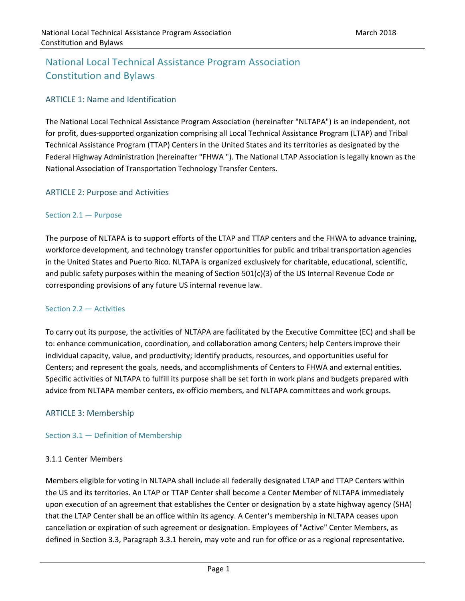# National Local Technical Assistance Program Association Constitution and Bylaws

# ARTICLE 1: Name and Identification

The National Local Technical Assistance Program Association (hereinafter "NLTAPA") is an independent, not for profit, dues‐supported organization comprising all Local Technical Assistance Program (LTAP) and Tribal Technical Assistance Program (TTAP) Centers in the United States and its territories as designated by the Federal Highway Administration (hereinafter "FHWA "). The National LTAP Association is legally known as the National Association of Transportation Technology Transfer Centers.

# ARTICLE 2: Purpose and Activities

# Section 2.1 — Purpose

The purpose of NLTAPA is to support efforts of the LTAP and TTAP centers and the FHWA to advance training, workforce development, and technology transfer opportunities for public and tribal transportation agencies in the United States and Puerto Rico. NLTAPA is organized exclusively for charitable, educational, scientific, and public safety purposes within the meaning of Section 501(c)(3) of the US Internal Revenue Code or corresponding provisions of any future US internal revenue law.

# Section 2.2 — Activities

To carry out its purpose, the activities of NLTAPA are facilitated by the Executive Committee (EC) and shall be to: enhance communication, coordination, and collaboration among Centers; help Centers improve their individual capacity, value, and productivity; identify products, resources, and opportunities useful for Centers; and represent the goals, needs, and accomplishments of Centers to FHWA and external entities. Specific activities of NLTAPA to fulfill its purpose shall be set forth in work plans and budgets prepared with advice from NLTAPA member centers, ex‐officio members, and NLTAPA committees and work groups.

# ARTICLE 3: Membership

# Section 3.1 — Definition of Membership

# 3.1.1 Center Members

Members eligible for voting in NLTAPA shall include all federally designated LTAP and TTAP Centers within the US and its territories. An LTAP or TTAP Center shall become a Center Member of NLTAPA immediately upon execution of an agreement that establishes the Center or designation by a state highway agency (SHA) that the LTAP Center shall be an office within its agency. A Center's membership in NLTAPA ceases upon cancellation or expiration of such agreement or designation. Employees of "Active" Center Members, as defined in Section 3.3, Paragraph 3.3.1 herein, may vote and run for office or as a regional representative.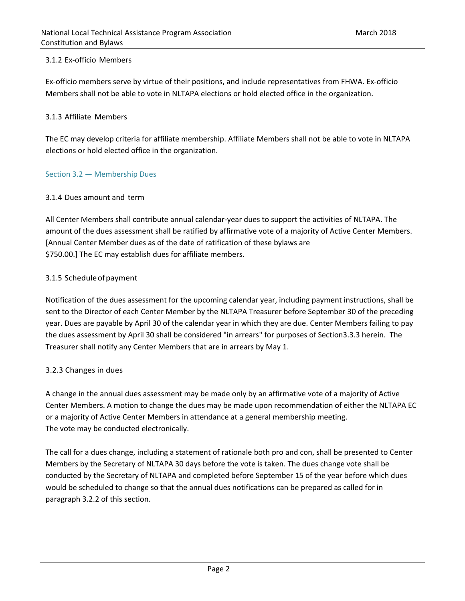# 3.1.2 Ex‐officio Members

Ex‐officio members serve by virtue of their positions, and include representatives from FHWA. Ex‐officio Members shall not be able to vote in NLTAPA elections or hold elected office in the organization.

# 3.1.3 Affiliate Members

The EC may develop criteria for affiliate membership. Affiliate Members shall not be able to vote in NLTAPA elections or hold elected office in the organization.

# Section 3.2 — Membership Dues

# 3.1.4 Dues amount and term

All Center Members shall contribute annual calendar‐year dues to support the activities of NLTAPA. The amount of the dues assessment shall be ratified by affirmative vote of a majority of Active Center Members. [Annual Center Member dues as of the date of ratification of these bylaws are \$750.00.] The EC may establish dues for affiliate members.

# 3.1.5 Schedule of payment

Notification of the dues assessment for the upcoming calendar year, including payment instructions, shall be sent to the Director of each Center Member by the NLTAPA Treasurer before September 30 of the preceding year. Dues are payable by April 30 of the calendar year in which they are due. Center Members failing to pay the dues assessment by April 30 shall be considered "in arrears" for purposes of Section3.3.3 herein. The Treasurer shall notify any Center Members that are in arrears by May 1.

# 3.2.3 Changes in dues

A change in the annual dues assessment may be made only by an affirmative vote of a majority of Active Center Members. A motion to change the dues may be made upon recommendation of either the NLTAPA EC or a majority of Active Center Members in attendance at a general membership meeting. The vote may be conducted electronically.

The call for a dues change, including a statement of rationale both pro and con, shall be presented to Center Members by the Secretary of NLTAPA 30 days before the vote is taken. The dues change vote shall be conducted by the Secretary of NLTAPA and completed before September 15 of the year before which dues would be scheduled to change so that the annual dues notifications can be prepared as called for in paragraph 3.2.2 of this section.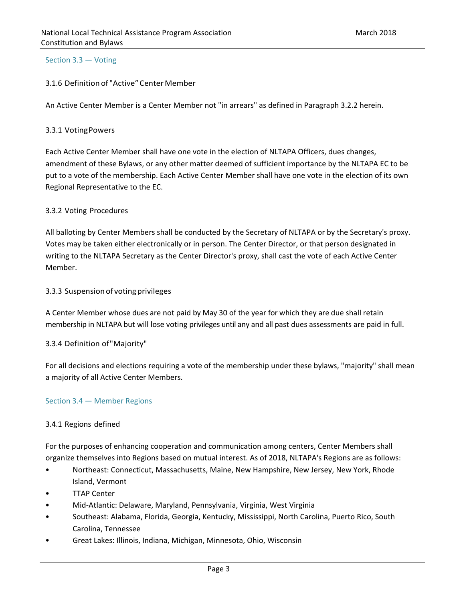#### Section 3.3 — Voting

# 3.1.6 Definition of "Active" Center Member

An Active Center Member is a Center Member not "in arrears" as defined in Paragraph 3.2.2 herein.

#### 3.3.1 Voting Powers

Each Active Center Member shall have one vote in the election of NLTAPA Officers, dues changes, amendment of these Bylaws, or any other matter deemed of sufficient importance by the NLTAPA EC to be put to a vote of the membership. Each Active Center Member shall have one vote in the election of its own Regional Representative to the EC.

#### 3.3.2 Voting Procedures

All balloting by Center Members shall be conducted by the Secretary of NLTAPA or by the Secretary's proxy. Votes may be taken either electronically or in person. The Center Director, or that person designated in writing to the NLTAPA Secretary as the Center Director's proxy, shall cast the vote of each Active Center Member.

#### 3.3.3 Suspension of voting privileges

A Center Member whose dues are not paid by May 30 of the year for which they are due shall retain membership in NLTAPA but will lose voting privileges until any and all past dues assessments are paid in full.

#### 3.3.4 Definition of "Majority"

For all decisions and elections requiring a vote of the membership under these bylaws, "majority" shall mean a majority of all Active Center Members.

#### Section 3.4 — Member Regions

# 3.4.1 Regions defined

For the purposes of enhancing cooperation and communication among centers, Center Members shall organize themselves into Regions based on mutual interest. As of 2018, NLTAPA's Regions are as follows:

- Northeast: Connecticut, Massachusetts, Maine, New Hampshire, New Jersey, New York, Rhode Island, Vermont
- **TTAP Center**
- Mid‐Atlantic: Delaware, Maryland, Pennsylvania, Virginia, West Virginia
- Southeast: Alabama, Florida, Georgia, Kentucky, Mississippi, North Carolina, Puerto Rico, South Carolina, Tennessee
- Great Lakes: Illinois, Indiana, Michigan, Minnesota, Ohio, Wisconsin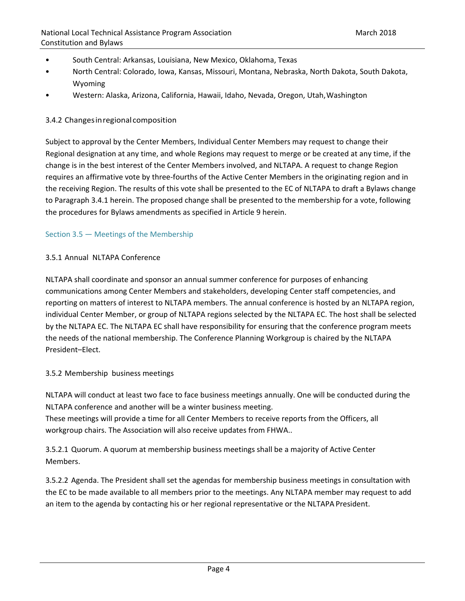- South Central: Arkansas, Louisiana, New Mexico, Oklahoma, Texas
- North Central: Colorado, Iowa, Kansas, Missouri, Montana, Nebraska, North Dakota, South Dakota, Wyoming
- Western: Alaska, Arizona, California, Hawaii, Idaho, Nevada, Oregon, Utah, Washington

# 3.4.2 Changes in regional composition

Subject to approval by the Center Members, Individual Center Members may request to change their Regional designation at any time, and whole Regions may request to merge or be created at any time, if the change is in the best interest of the Center Members involved, and NLTAPA. A request to change Region requires an affirmative vote by three‐fourths of the Active Center Members in the originating region and in the receiving Region. The results of this vote shall be presented to the EC of NLTAPA to draft a Bylaws change to Paragraph 3.4.1 herein. The proposed change shall be presented to the membership for a vote, following the procedures for Bylaws amendments as specified in Article 9 herein.

# Section 3.5 — Meetings of the Membership

# 3.5.1 Annual NLTAPA Conference

NLTAPA shall coordinate and sponsor an annual summer conference for purposes of enhancing communications among Center Members and stakeholders, developing Center staff competencies, and reporting on matters of interest to NLTAPA members. The annual conference is hosted by an NLTAPA region, individual Center Member, or group of NLTAPA regions selected by the NLTAPA EC. The host shall be selected by the NLTAPA EC. The NLTAPA EC shall have responsibility for ensuring that the conference program meets the needs of the national membership. The Conference Planning Workgroup is chaired by the NLTAPA President–Elect.

# 3.5.2 Membership business meetings

NLTAPA will conduct at least two face to face business meetings annually. One will be conducted during the NLTAPA conference and another will be a winter business meeting.

These meetings will provide a time for all Center Members to receive reports from the Officers, all workgroup chairs. The Association will also receive updates from FHWA..

3.5.2.1 Quorum. A quorum at membership business meetings shall be a majority of Active Center Members.

3.5.2.2 Agenda. The President shall set the agendas for membership business meetings in consultation with the EC to be made available to all members prior to the meetings. Any NLTAPA member may request to add an item to the agenda by contacting his or her regional representative or the NLTAPA President.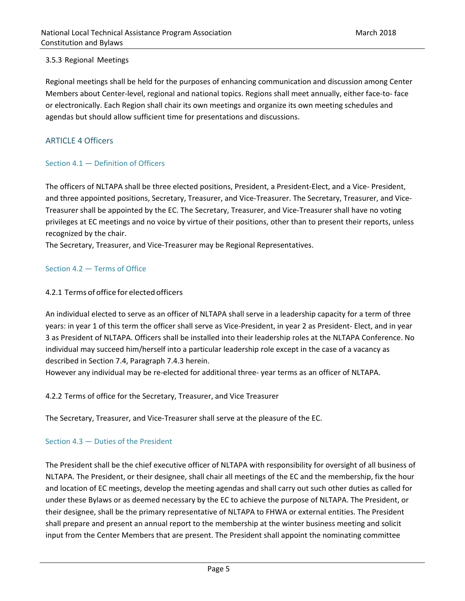# 3.5.3 Regional Meetings

Regional meetings shall be held for the purposes of enhancing communication and discussion among Center Members about Center‐level, regional and national topics. Regions shall meet annually, either face‐to‐ face or electronically. Each Region shall chair its own meetings and organize its own meeting schedules and agendas but should allow sufficient time for presentations and discussions.

# ARTICLE 4 Officers

# Section 4.1 — Definition of Officers

The officers of NLTAPA shall be three elected positions, President, a President‐Elect, and a Vice‐ President, and three appointed positions, Secretary, Treasurer, and Vice‐Treasurer. The Secretary, Treasurer, and Vice‐ Treasurer shall be appointed by the EC. The Secretary, Treasurer, and Vice‐Treasurer shall have no voting privileges at EC meetings and no voice by virtue of their positions, other than to present their reports, unless recognized by the chair.

The Secretary, Treasurer, and Vice‐Treasurer may be Regional Representatives.

# Section 4.2 — Terms of Office

# 4.2.1 Terms of office for elected officers

An individual elected to serve as an officer of NLTAPA shall serve in a leadership capacity for a term of three years: in year 1 of this term the officer shall serve as Vice‐President, in year 2 as President‐ Elect, and in year 3 as President of NLTAPA. Officers shall be installed into their leadership roles at the NLTAPA Conference. No individual may succeed him/herself into a particular leadership role except in the case of a vacancy as described in Section 7.4, Paragraph 7.4.3 herein.

However any individual may be re-elected for additional three- year terms as an officer of NLTAPA.

4.2.2 Terms of office for the Secretary, Treasurer, and Vice Treasurer

The Secretary, Treasurer, and Vice‐Treasurer shall serve at the pleasure of the EC.

# Section 4.3 — Duties of the President

The President shall be the chief executive officer of NLTAPA with responsibility for oversight of all business of NLTAPA. The President, or their designee, shall chair all meetings of the EC and the membership, fix the hour and location of EC meetings, develop the meeting agendas and shall carry out such other duties as called for under these Bylaws or as deemed necessary by the EC to achieve the purpose of NLTAPA. The President, or their designee, shall be the primary representative of NLTAPA to FHWA or external entities. The President shall prepare and present an annual report to the membership at the winter business meeting and solicit input from the Center Members that are present. The President shall appoint the nominating committee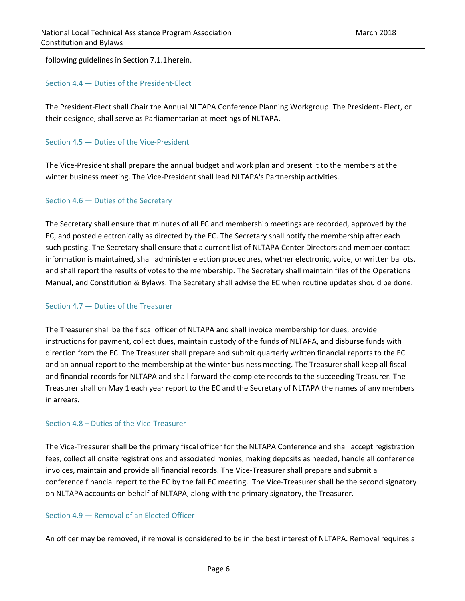following guidelines in Section 7.1.1 herein.

# Section 4.4 — Duties of the President‐Elect

The President‐Elect shall Chair the Annual NLTAPA Conference Planning Workgroup. The President‐ Elect, or their designee, shall serve as Parliamentarian at meetings of NLTAPA.

### Section 4.5 – Duties of the Vice-President

The Vice‐President shall prepare the annual budget and work plan and present it to the members at the winter business meeting. The Vice-President shall lead NLTAPA's Partnership activities.

#### Section 4.6 — Duties of the Secretary

The Secretary shall ensure that minutes of all EC and membership meetings are recorded, approved by the EC, and posted electronically as directed by the EC. The Secretary shall notify the membership after each such posting. The Secretary shall ensure that a current list of NLTAPA Center Directors and member contact information is maintained, shall administer election procedures, whether electronic, voice, or written ballots, and shall report the results of votes to the membership. The Secretary shall maintain files of the Operations Manual, and Constitution & Bylaws. The Secretary shall advise the EC when routine updates should be done.

#### Section 4.7 — Duties of the Treasurer

The Treasurer shall be the fiscal officer of NLTAPA and shall invoice membership for dues, provide instructions for payment, collect dues, maintain custody of the funds of NLTAPA, and disburse funds with direction from the EC. The Treasurer shall prepare and submit quarterly written financial reports to the EC and an annual report to the membership at the winter business meeting. The Treasurer shall keep all fiscal and financial records for NLTAPA and shall forward the complete records to the succeeding Treasurer. The Treasurer shall on May 1 each year report to the EC and the Secretary of NLTAPA the names of any members in arrears.

# Section 4.8 – Duties of the Vice‐Treasurer

The Vice‐Treasurer shall be the primary fiscal officer for the NLTAPA Conference and shall accept registration fees, collect all onsite registrations and associated monies, making deposits as needed, handle all conference invoices, maintain and provide all financial records. The Vice‐Treasurer shall prepare and submit a conference financial report to the EC by the fall EC meeting. The Vice‐Treasurer shall be the second signatory on NLTAPA accounts on behalf of NLTAPA, along with the primary signatory, the Treasurer.

#### Section 4.9 — Removal of an Elected Officer

An officer may be removed, if removal is considered to be in the best interest of NLTAPA. Removal requires a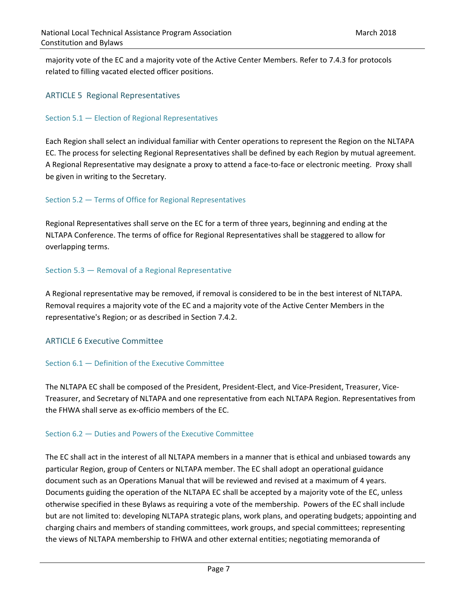majority vote of the EC and a majority vote of the Active Center Members. Refer to 7.4.3 for protocols related to filling vacated elected officer positions.

# ARTICLE 5 Regional Representatives

### Section 5.1 — Election of Regional Representatives

Each Region shall select an individual familiar with Center operations to represent the Region on the NLTAPA EC. The process for selecting Regional Representatives shall be defined by each Region by mutual agreement. A Regional Representative may designate a proxy to attend a face‐to‐face or electronic meeting. Proxy shall be given in writing to the Secretary.

# Section 5.2 — Terms of Office for Regional Representatives

Regional Representatives shall serve on the EC for a term of three years, beginning and ending at the NLTAPA Conference. The terms of office for Regional Representatives shall be staggered to allow for overlapping terms.

# Section 5.3 — Removal of a Regional Representative

A Regional representative may be removed, if removal is considered to be in the best interest of NLTAPA. Removal requires a majority vote of the EC and a majority vote of the Active Center Members in the representative's Region; or as described in Section 7.4.2.

# ARTICLE 6 Executive Committee

### Section 6.1 — Definition of the Executive Committee

The NLTAPA EC shall be composed of the President, President‐Elect, and Vice‐President, Treasurer, Vice‐ Treasurer, and Secretary of NLTAPA and one representative from each NLTAPA Region. Representatives from the FHWA shall serve as ex‐officio members of the EC.

# Section 6.2 — Duties and Powers of the Executive Committee

The EC shall act in the interest of all NLTAPA members in a manner that is ethical and unbiased towards any particular Region, group of Centers or NLTAPA member. The EC shall adopt an operational guidance document such as an Operations Manual that will be reviewed and revised at a maximum of 4 years. Documents guiding the operation of the NLTAPA EC shall be accepted by a majority vote of the EC, unless otherwise specified in these Bylaws as requiring a vote of the membership. Powers of the EC shall include but are not limited to: developing NLTAPA strategic plans, work plans, and operating budgets; appointing and charging chairs and members of standing committees, work groups, and special committees; representing the views of NLTAPA membership to FHWA and other external entities; negotiating memoranda of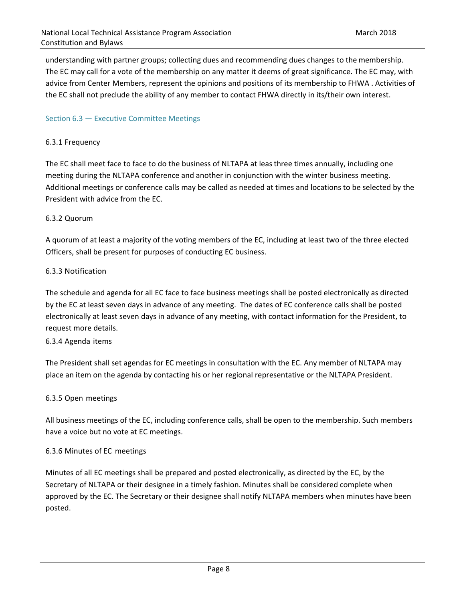understanding with partner groups; collecting dues and recommending dues changes to the membership. The EC may call for a vote of the membership on any matter it deems of great significance. The EC may, with advice from Center Members, represent the opinions and positions of its membership to FHWA . Activities of the EC shall not preclude the ability of any member to contact FHWA directly in its/their own interest.

### Section 6.3 — Executive Committee Meetings

#### 6.3.1 Frequency

The EC shall meet face to face to do the business of NLTAPA at leasthree times annually, including one meeting during the NLTAPA conference and another in conjunction with the winter business meeting. Additional meetings or conference calls may be called as needed at times and locations to be selected by the President with advice from the EC.

#### 6.3.2 Quorum

A quorum of at least a majority of the voting members of the EC, including at least two of the three elected Officers, shall be present for purposes of conducting EC business.

# 6.3.3 Notification

The schedule and agenda for all EC face to face business meetings shall be posted electronically as directed by the EC at least seven days in advance of any meeting. The dates of EC conference calls shall be posted electronically at least seven days in advance of any meeting, with contact information for the President, to request more details.

#### 6.3.4 Agenda items

The President shall set agendas for EC meetings in consultation with the EC. Any member of NLTAPA may place an item on the agenda by contacting his or her regional representative or the NLTAPA President.

# 6.3.5 Open meetings

All business meetings of the EC, including conference calls, shall be open to the membership. Such members have a voice but no vote at EC meetings.

# 6.3.6 Minutes of EC meetings

Minutes of all EC meetings shall be prepared and posted electronically, as directed by the EC, by the Secretary of NLTAPA or their designee in a timely fashion. Minutes shall be considered complete when approved by the EC. The Secretary or their designee shall notify NLTAPA members when minutes have been posted.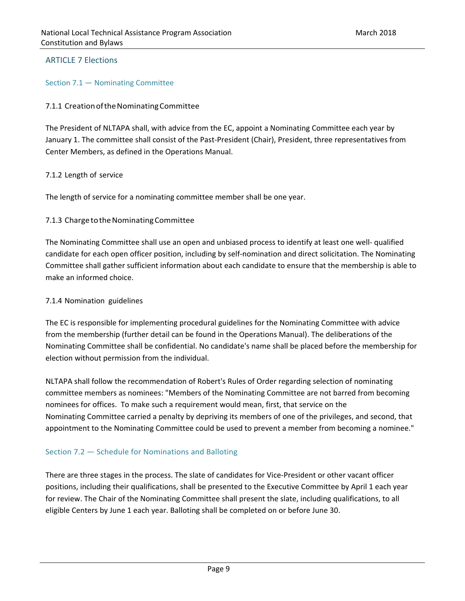# ARTICLE 7 Elections

Section 7.1 — Nominating Committee

### 7.1.1 Creation of the Nominating Committee

The President of NLTAPA shall, with advice from the EC, appoint a Nominating Committee each year by January 1. The committee shall consist of the Past‐President (Chair), President, three representatives from Center Members, as defined in the Operations Manual.

#### 7.1.2 Length of service

The length of service for a nominating committee member shall be one year.

#### 7.1.3 Charge to the Nominating Committee

The Nominating Committee shall use an open and unbiased process to identify at least one well‐ qualified candidate for each open officer position, including by self‐nomination and direct solicitation. The Nominating Committee shall gather sufficient information about each candidate to ensure that the membership is able to make an informed choice.

#### 7.1.4 Nomination guidelines

The EC is responsible for implementing procedural guidelines for the Nominating Committee with advice from the membership (further detail can be found in the Operations Manual). The deliberations of the Nominating Committee shall be confidential. No candidate's name shall be placed before the membership for election without permission from the individual.

NLTAPA shall follow the recommendation of Robert's Rules of Order regarding selection of nominating committee members as nominees: "Members of the Nominating Committee are not barred from becoming nominees for offices. To make such a requirement would mean, first, that service on the Nominating Committee carried a penalty by depriving its members of one of the privileges, and second, that appointment to the Nominating Committee could be used to prevent a member from becoming a nominee."

# Section 7.2 — Schedule for Nominations and Balloting

There are three stages in the process. The slate of candidates for Vice‐President or other vacant officer positions, including their qualifications, shall be presented to the Executive Committee by April 1 each year for review. The Chair of the Nominating Committee shall present the slate, including qualifications, to all eligible Centers by June 1 each year. Balloting shall be completed on or before June 30.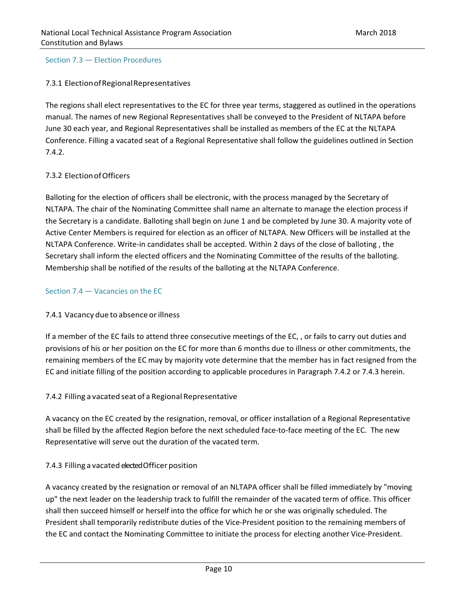#### Section 7.3 — Election Procedures

# 7.3.1 Election of Regional Representatives

The regions shall elect representatives to the EC for three year terms, staggered as outlined in the operations manual. The names of new Regional Representatives shall be conveyed to the President of NLTAPA before June 30 each year, and Regional Representatives shall be installed as members of the EC at the NLTAPA Conference. Filling a vacated seat of a Regional Representative shall follow the guidelines outlined in Section 7.4.2.

# 7.3.2 Election of Officers

Balloting for the election of officers shall be electronic, with the process managed by the Secretary of NLTAPA. The chair of the Nominating Committee shall name an alternate to manage the election process if the Secretary is a candidate. Balloting shall begin on June 1 and be completed by June 30. A majority vote of Active Center Members is required for election as an officer of NLTAPA. New Officers will be installed at the NLTAPA Conference. Write‐in candidates shall be accepted. Within 2 days of the close of balloting , the Secretary shall inform the elected officers and the Nominating Committee of the results of the balloting. Membership shall be notified of the results of the balloting at the NLTAPA Conference.

### Section 7.4 — Vacancies on the EC

# 7.4.1 Vacancy due to absence or illness

If a member of the EC fails to attend three consecutive meetings of the EC, , or fails to carry out duties and provisions of his or her position on the EC for more than 6 months due to illness or other commitments, the remaining members of the EC may by majority vote determine that the member has in fact resigned from the EC and initiate filling of the position according to applicable procedures in Paragraph 7.4.2 or 7.4.3 herein.

# 7.4.2 Filling a vacated seat of a Regional Representative

A vacancy on the EC created by the resignation, removal, or officer installation of a Regional Representative shall be filled by the affected Region before the next scheduled face-to-face meeting of the EC. The new Representative will serve out the duration of the vacated term.

# 7.4.3 Filling a vacated elected Officer position

A vacancy created by the resignation or removal of an NLTAPA officer shall be filled immediately by "moving up" the next leader on the leadership track to fulfill the remainder of the vacated term of office. This officer shall then succeed himself or herself into the office for which he or she was originally scheduled. The President shall temporarily redistribute duties of the Vice‐President position to the remaining members of the EC and contact the Nominating Committee to initiate the process for electing another Vice-President.